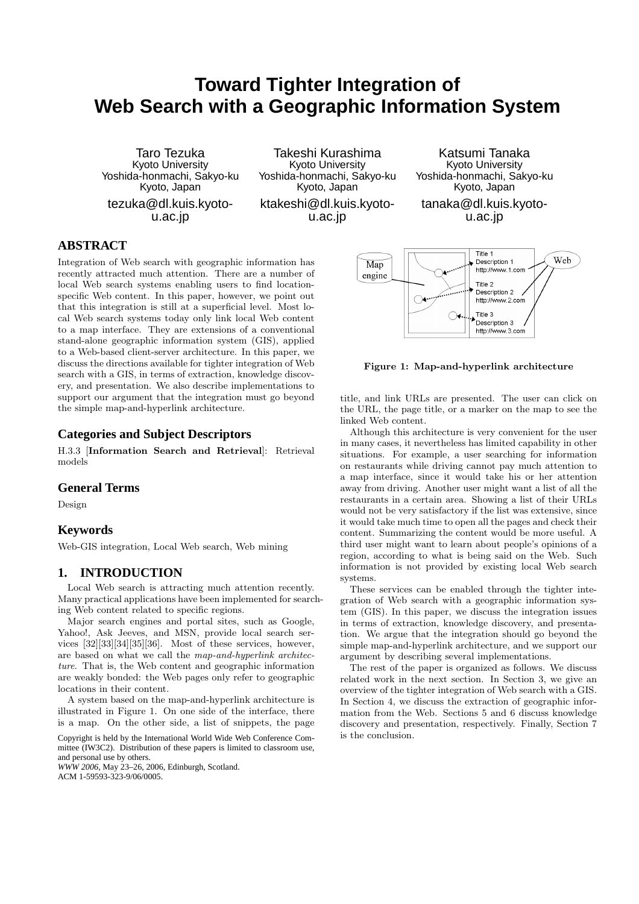# **Toward Tighter Integration of Web Search with a Geographic Information System**

Taro Tezuka Kyoto University Yoshida-honmachi, Sakyo-ku Kyoto, Japan tezuka@dl.kuis.kyotou.ac.jp

Takeshi Kurashima Kyoto University Yoshida-honmachi, Sakyo-ku Kyoto, Japan ktakeshi@dl.kuis.kyotou.ac.jp

Katsumi Tanaka Kyoto University Yoshida-honmachi, Sakyo-ku Kyoto, Japan tanaka@dl.kuis.kyotou.ac.jp

# **ABSTRACT**

Integration of Web search with geographic information has recently attracted much attention. There are a number of local Web search systems enabling users to find locationspecific Web content. In this paper, however, we point out that this integration is still at a superficial level. Most local Web search systems today only link local Web content to a map interface. They are extensions of a conventional stand-alone geographic information system (GIS), applied to a Web-based client-server architecture. In this paper, we discuss the directions available for tighter integration of Web search with a GIS, in terms of extraction, knowledge discovery, and presentation. We also describe implementations to support our argument that the integration must go beyond the simple map-and-hyperlink architecture.

# **Categories and Subject Descriptors**

H.3.3 [**Information Search and Retrieval**]: Retrieval models

# **General Terms**

Design

#### **Keywords**

Web-GIS integration, Local Web search, Web mining

# **1. INTRODUCTION**

Local Web search is attracting much attention recently. Many practical applications have been implemented for searching Web content related to specific regions.

Major search engines and portal sites, such as Google, Yahoo!, Ask Jeeves, and MSN, provide local search services [32][33][34][35][36]. Most of these services, however, are based on what we call the *map-and-hyperlink architecture*. That is, the Web content and geographic information are weakly bonded: the Web pages only refer to geographic locations in their content.

A system based on the map-and-hyperlink architecture is illustrated in Figure 1. On one side of the interface, there is a map. On the other side, a list of snippets, the page

Copyright is held by the International World Wide Web Conference Committee (IW3C2). Distribution of these papers is limited to classroom use, and personal use by others.

*WWW 2006*, May 23–26, 2006, Edinburgh, Scotland. ACM 1-59593-323-9/06/0005.



**Figure 1: Map-and-hyperlink architecture**

title, and link URLs are presented. The user can click on the URL, the page title, or a marker on the map to see the linked Web content.

Although this architecture is very convenient for the user in many cases, it nevertheless has limited capability in other situations. For example, a user searching for information on restaurants while driving cannot pay much attention to a map interface, since it would take his or her attention away from driving. Another user might want a list of all the restaurants in a certain area. Showing a list of their URLs would not be very satisfactory if the list was extensive, since it would take much time to open all the pages and check their content. Summarizing the content would be more useful. A third user might want to learn about people's opinions of a region, according to what is being said on the Web. Such information is not provided by existing local Web search systems.

These services can be enabled through the tighter integration of Web search with a geographic information system (GIS). In this paper, we discuss the integration issues in terms of extraction, knowledge discovery, and presentation. We argue that the integration should go beyond the simple map-and-hyperlink architecture, and we support our argument by describing several implementations.

The rest of the paper is organized as follows. We discuss related work in the next section. In Section 3, we give an overview of the tighter integration of Web search with a GIS. In Section 4, we discuss the extraction of geographic information from the Web. Sections 5 and 6 discuss knowledge discovery and presentation, respectively. Finally, Section 7 is the conclusion.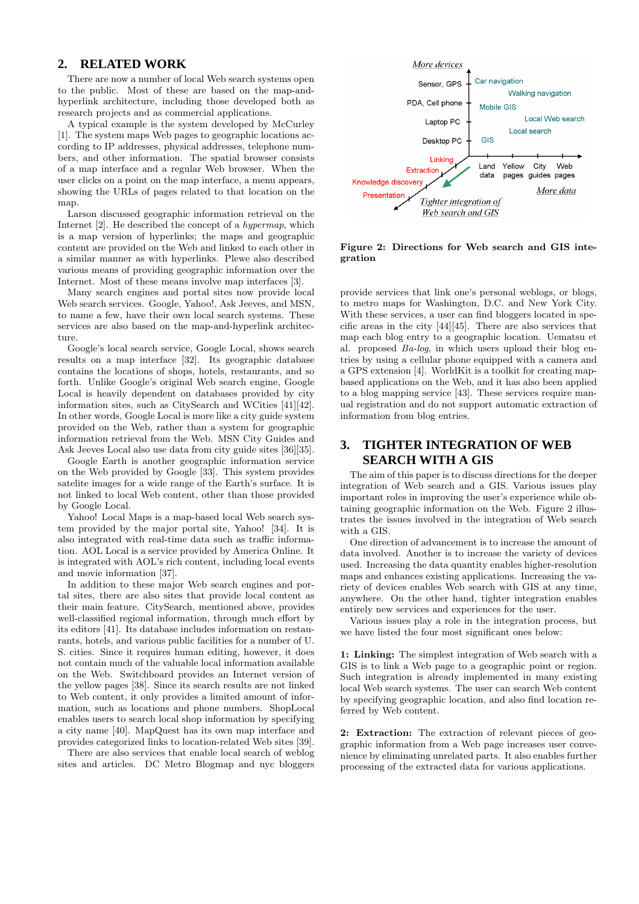# **2. RELATED WORK**

There are now a number of local Web search systems open to the public. Most of these are based on the map-andhyperlink architecture, including those developed both as research projects and as commercial applications.

A typical example is the system developed by McCurley [1]. The system maps Web pages to geographic locations according to IP addresses, physical addresses, telephone numbers, and other information. The spatial browser consists of a map interface and a regular Web browser. When the user clicks on a point on the map interface, a menu appears, showing the URLs of pages related to that location on the map.

Larson discussed geographic information retrieval on the Internet [2]. He described the concept of a *hypermap*, which is a map version of hyperlinks; the maps and geographic content are provided on the Web and linked to each other in a similar manner as with hyperlinks. Plewe also described various means of providing geographic information over the Internet. Most of these means involve map interfaces [3].

Many search engines and portal sites now provide local Web search services. Google, Yahoo!, Ask Jeeves, and MSN, to name a few, have their own local search systems. These services are also based on the map-and-hyperlink architecture.

Google's local search service, Google Local, shows search results on a map interface [32]. Its geographic database contains the locations of shops, hotels, restaurants, and so forth. Unlike Google's original Web search engine, Google Local is heavily dependent on databases provided by city information sites, such as CitySearch and WCities [41][42]. In other words, Google Local is more like a city guide system provided on the Web, rather than a system for geographic information retrieval from the Web. MSN City Guides and Ask Jeeves Local also use data from city guide sites [36][35].

Google Earth is another geographic information service on the Web provided by Google [33]. This system provides satelite images for a wide range of the Earth's surface. It is not linked to local Web content, other than those provided by Google Local.

Yahoo! Local Maps is a map-based local Web search system provided by the major portal site, Yahoo! [34]. It is also integrated with real-time data such as traffic information. AOL Local is a service provided by America Online. It is integrated with AOL's rich content, including local events and movie information [37].

In addition to these major Web search engines and portal sites, there are also sites that provide local content as their main feature. CitySearch, mentioned above, provides well-classified regional information, through much effort by its editors [41]. Its database includes information on restaurants, hotels, and various public facilities for a number of U. S. cities. Since it requires human editing, however, it does not contain much of the valuable local information available on the Web. Switchboard provides an Internet version of the yellow pages [38]. Since its search results are not linked to Web content, it only provides a limited amount of information, such as locations and phone numbers. ShopLocal enables users to search local shop information by specifying a city name [40]. MapQuest has its own map interface and provides categorized links to location-related Web sites [39].

There are also services that enable local search of weblog sites and articles. DC Metro Blogmap and nyc bloggers



**Figure 2: Directions for Web search and GIS integration**

provide services that link one's personal weblogs, or blogs, to metro maps for Washington, D.C. and New York City. With these services, a user can find bloggers located in specific areas in the city [44][45]. There are also services that map each blog entry to a geographic location. Uematsu et al. proposed *Ba-log*, in which users upload their blog entries by using a cellular phone equipped with a camera and a GPS extension [4]. WorldKit is a toolkit for creating mapbased applications on the Web, and it has also been applied to a blog mapping service [43]. These services require manual registration and do not support automatic extraction of information from blog entries.

# **3. TIGHTER INTEGRATION OF WEB SEARCH WITH A GIS**

The aim of this paper is to discuss directions for the deeper integration of Web search and a GIS. Various issues play important roles in improving the user's experience while obtaining geographic information on the Web. Figure 2 illustrates the issues involved in the integration of Web search with a GIS.

One direction of advancement is to increase the amount of data involved. Another is to increase the variety of devices used. Increasing the data quantity enables higher-resolution maps and enhances existing applications. Increasing the variety of devices enables Web search with GIS at any time, anywhere. On the other hand, tighter integration enables entirely new services and experiences for the user.

Various issues play a role in the integration process, but we have listed the four most significant ones below:

**1: Linking:** The simplest integration of Web search with a GIS is to link a Web page to a geographic point or region. Such integration is already implemented in many existing local Web search systems. The user can search Web content by specifying geographic location, and also find location referred by Web content.

**2: Extraction:** The extraction of relevant pieces of geographic information from a Web page increases user convenience by eliminating unrelated parts. It also enables further processing of the extracted data for various applications.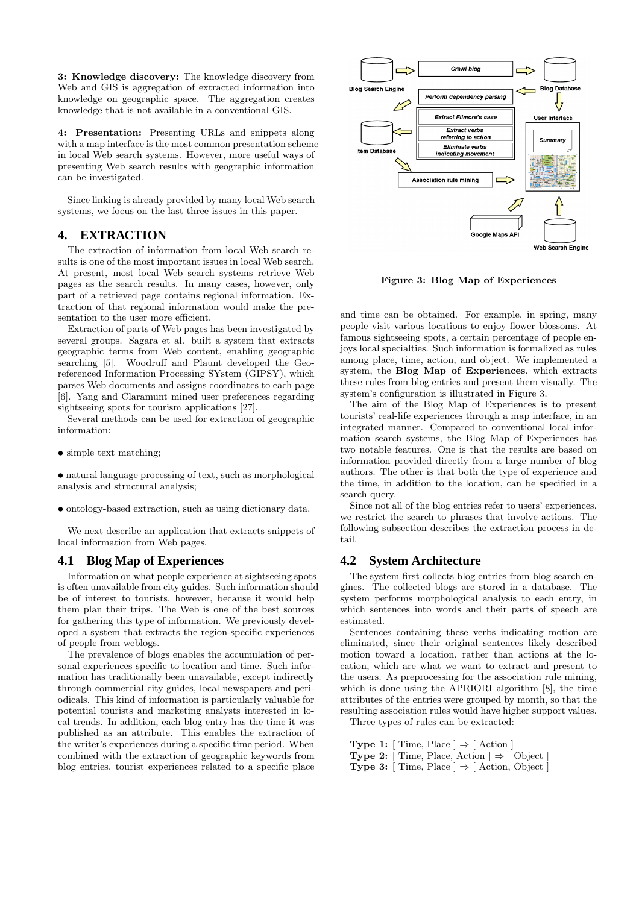**3: Knowledge discovery:** The knowledge discovery from Web and GIS is aggregation of extracted information into knowledge on geographic space. The aggregation creates knowledge that is not available in a conventional GIS.

**4: Presentation:** Presenting URLs and snippets along with a map interface is the most common presentation scheme in local Web search systems. However, more useful ways of presenting Web search results with geographic information can be investigated.

Since linking is already provided by many local Web search systems, we focus on the last three issues in this paper.

# **4. EXTRACTION**

The extraction of information from local Web search results is one of the most important issues in local Web search. At present, most local Web search systems retrieve Web pages as the search results. In many cases, however, only part of a retrieved page contains regional information. Extraction of that regional information would make the presentation to the user more efficient.

Extraction of parts of Web pages has been investigated by several groups. Sagara et al. built a system that extracts geographic terms from Web content, enabling geographic searching [5]. Woodruff and Plaunt developed the Georeferenced Information Processing SYstem (GIPSY), which parses Web documents and assigns coordinates to each page [6]. Yang and Claramunt mined user preferences regarding sightseeing spots for tourism applications [27].

Several methods can be used for extraction of geographic information:

• simple text matching;

 $\bullet$  natural language processing of text, such as morphological analysis and structural analysis;

› ontology-based extraction, such as using dictionary data.

We next describe an application that extracts snippets of local information from Web pages.

## **4.1 Blog Map of Experiences**

Information on what people experience at sightseeing spots is often unavailable from city guides. Such information should be of interest to tourists, however, because it would help them plan their trips. The Web is one of the best sources for gathering this type of information. We previously developed a system that extracts the region-specific experiences of people from weblogs.

The prevalence of blogs enables the accumulation of personal experiences specific to location and time. Such information has traditionally been unavailable, except indirectly through commercial city guides, local newspapers and periodicals. This kind of information is particularly valuable for potential tourists and marketing analysts interested in local trends. In addition, each blog entry has the time it was published as an attribute. This enables the extraction of the writer's experiences during a specific time period. When combined with the extraction of geographic keywords from blog entries, tourist experiences related to a specific place



**Figure 3: Blog Map of Experiences**

and time can be obtained. For example, in spring, many people visit various locations to enjoy flower blossoms. At famous sightseeing spots, a certain percentage of people enjoys local specialties. Such information is formalized as rules among place, time, action, and object. We implemented a system, the **Blog Map of Experiences**, which extracts these rules from blog entries and present them visually. The system's configuration is illustrated in Figure 3.

The aim of the Blog Map of Experiences is to present tourists' real-life experiences through a map interface, in an integrated manner. Compared to conventional local information search systems, the Blog Map of Experiences has two notable features. One is that the results are based on information provided directly from a large number of blog authors. The other is that both the type of experience and the time, in addition to the location, can be specified in a search query.

Since not all of the blog entries refer to users' experiences, we restrict the search to phrases that involve actions. The following subsection describes the extraction process in detail.

## **4.2 System Architecture**

The system first collects blog entries from blog search engines. The collected blogs are stored in a database. The system performs morphological analysis to each entry, in which sentences into words and their parts of speech are estimated.

Sentences containing these verbs indicating motion are eliminated, since their original sentences likely described motion toward a location, rather than actions at the location, which are what we want to extract and present to the users. As preprocessing for the association rule mining, which is done using the APRIORI algorithm [8], the time attributes of the entries were grouped by month, so that the resulting association rules would have higher support values.

Three types of rules can be extracted:

**Type 1:**  $\lceil \text{Time, Place} \rceil \Rightarrow \lceil \text{Action} \rceil$ **Type 2:** [ Time, Place, Action ] *⇒* [ Object ] **Type 3:**  $[Time, Place] \Rightarrow [Action, Object]$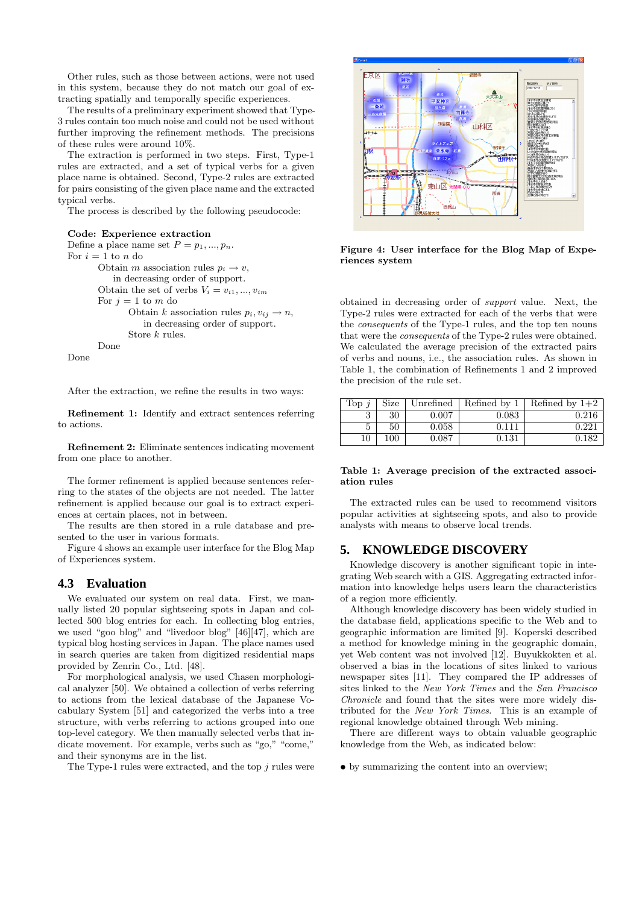Other rules, such as those between actions, were not used in this system, because they do not match our goal of extracting spatially and temporally specific experiences.

The results of a preliminary experiment showed that Type-3 rules contain too much noise and could not be used without further improving the refinement methods. The precisions of these rules were around 10%.

The extraction is performed in two steps. First, Type-1 rules are extracted, and a set of typical verbs for a given place name is obtained. Second, Type-2 rules are extracted for pairs consisting of the given place name and the extracted typical verbs.

The process is described by the following pseudocode:

#### **Code: Experience extraction**

Define a place name set  $P = p_1, ..., p_n$ . For  $i = 1$  to *n* do Obtain *m* association rules  $p_i \rightarrow v$ , in decreasing order of support. Obtain the set of verbs  $V_i = v_{i1}, ..., v_{im}$ For  $j = 1$  to m do Obtain *k* association rules  $p_i, v_{ii} \rightarrow n$ , in decreasing order of support. Store *k* rules. Done Done

After the extraction, we refine the results in two ways:

**Refinement 1:** Identify and extract sentences referring to actions.

**Refinement 2:** Eliminate sentences indicating movement from one place to another.

The former refinement is applied because sentences referring to the states of the objects are not needed. The latter refinement is applied because our goal is to extract experiences at certain places, not in between.

The results are then stored in a rule database and presented to the user in various formats.

Figure 4 shows an example user interface for the Blog Map of Experiences system.

# **4.3 Evaluation**

We evaluated our system on real data. First, we manually listed 20 popular sightseeing spots in Japan and collected 500 blog entries for each. In collecting blog entries, we used "goo blog" and "livedoor blog" [46][47], which are typical blog hosting services in Japan. The place names used in search queries are taken from digitized residential maps provided by Zenrin Co., Ltd. [48].

For morphological analysis, we used Chasen morphological analyzer [50]. We obtained a collection of verbs referring to actions from the lexical database of the Japanese Vocabulary System [51] and categorized the verbs into a tree structure, with verbs referring to actions grouped into one top-level category. We then manually selected verbs that indicate movement. For example, verbs such as "go," "come," and their synonyms are in the list.

The Type-1 rules were extracted, and the top *j* rules were



**Figure 4: User interface for the Blog Map of Experiences system**

obtained in decreasing order of *support* value. Next, the Type-2 rules were extracted for each of the verbs that were the *consequents* of the Type-1 rules, and the top ten nouns that were the *consequents* of the Type-2 rules were obtained. We calculated the average precision of the extracted pairs of verbs and nouns, i.e., the association rules. As shown in Table 1, the combination of Refinements 1 and 2 improved the precision of the rule set.

| Top | Size | Unrefined | Refined by 1 | Refined by $1+2$ |
|-----|------|-----------|--------------|------------------|
| υ   | 30   | 0.007     | 0.083        | ${0.216}$        |
| ð   | 50   | 0.058     | 0.111        | 0.221            |
| 10  | 100  | 0.087     | 0.131        | $\rm 0.182$      |

#### **Table 1: Average precision of the extracted association rules**

The extracted rules can be used to recommend visitors popular activities at sightseeing spots, and also to provide analysts with means to observe local trends.

#### **5. KNOWLEDGE DISCOVERY**

Knowledge discovery is another significant topic in integrating Web search with a GIS. Aggregating extracted information into knowledge helps users learn the characteristics of a region more efficiently.

Although knowledge discovery has been widely studied in the database field, applications specific to the Web and to geographic information are limited [9]. Koperski described a method for knowledge mining in the geographic domain, yet Web content was not involved [12]. Buyukkokten et al. observed a bias in the locations of sites linked to various newspaper sites [11]. They compared the IP addresses of sites linked to the *New York Times* and the *San Francisco Chronicle* and found that the sites were more widely distributed for the *New York Times*. This is an example of regional knowledge obtained through Web mining.

There are different ways to obtain valuable geographic knowledge from the Web, as indicated below:

 $\bullet$  by summarizing the content into an overview;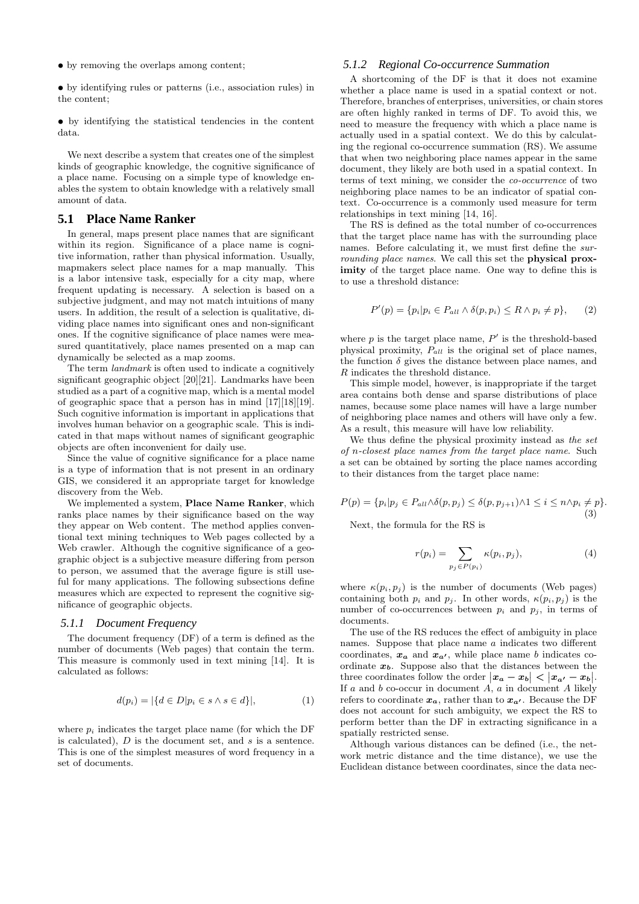$\bullet$  by removing the overlaps among content;

› by identifying rules or patterns (i.e., association rules) in the content;

› by identifying the statistical tendencies in the content data.

We next describe a system that creates one of the simplest kinds of geographic knowledge, the cognitive significance of a place name. Focusing on a simple type of knowledge enables the system to obtain knowledge with a relatively small amount of data.

#### **5.1 Place Name Ranker**

In general, maps present place names that are significant within its region. Significance of a place name is cognitive information, rather than physical information. Usually, mapmakers select place names for a map manually. This is a labor intensive task, especially for a city map, where frequent updating is necessary. A selection is based on a subjective judgment, and may not match intuitions of many users. In addition, the result of a selection is qualitative, dividing place names into significant ones and non-significant ones. If the cognitive significance of place names were measured quantitatively, place names presented on a map can dynamically be selected as a map zooms.

The term *landmark* is often used to indicate a cognitively significant geographic object [20][21]. Landmarks have been studied as a part of a cognitive map, which is a mental model of geographic space that a person has in mind [17][18][19]. Such cognitive information is important in applications that involves human behavior on a geographic scale. This is indicated in that maps without names of significant geographic objects are often inconvenient for daily use.

Since the value of cognitive significance for a place name is a type of information that is not present in an ordinary GIS, we considered it an appropriate target for knowledge discovery from the Web.

We implemented a system, **Place Name Ranker**, which ranks place names by their significance based on the way they appear on Web content. The method applies conventional text mining techniques to Web pages collected by a Web crawler. Although the cognitive significance of a geographic object is a subjective measure differing from person to person, we assumed that the average figure is still useful for many applications. The following subsections define measures which are expected to represent the cognitive significance of geographic objects.

# *5.1.1 Document Frequency*

The document frequency (DF) of a term is defined as the number of documents (Web pages) that contain the term. This measure is commonly used in text mining [14]. It is calculated as follows:

$$
d(p_i) = |\{d \in D | p_i \in s \land s \in d\}|,\tag{1}
$$

where  $p_i$  indicates the target place name (for which the DF is calculated), *D* is the document set, and *s* is a sentence. This is one of the simplest measures of word frequency in a set of documents.

#### *5.1.2 Regional Co-occurrence Summation*

A shortcoming of the DF is that it does not examine whether a place name is used in a spatial context or not. Therefore, branches of enterprises, universities, or chain stores are often highly ranked in terms of DF. To avoid this, we need to measure the frequency with which a place name is actually used in a spatial context. We do this by calculating the regional co-occurrence summation (RS). We assume that when two neighboring place names appear in the same document, they likely are both used in a spatial context. In terms of text mining, we consider the *co-occurrence* of two neighboring place names to be an indicator of spatial context. Co-occurrence is a commonly used measure for term relationships in text mining [14, 16].

The RS is defined as the total number of co-occurrences that the target place name has with the surrounding place names. Before calculating it, we must first define the *surrounding place names*. We call this set the **physical proximity** of the target place name. One way to define this is to use a threshold distance:

$$
P'(p) = \{p_i | p_i \in P_{all} \land \delta(p, p_i) \le R \land p_i \ne p\},\qquad(2)
$$

where  $p$  is the target place name,  $P'$  is the threshold-based physical proximity, *Pall* is the original set of place names, the function  $\delta$  gives the distance between place names, and *R* indicates the threshold distance.

This simple model, however, is inappropriate if the target area contains both dense and sparse distributions of place names, because some place names will have a large number of neighboring place names and others will have only a few. As a result, this measure will have low reliability.

We thus define the physical proximity instead as *the set of n-closest place names from the target place name*. Such a set can be obtained by sorting the place names according to their distances from the target place name:

$$
P(p) = \{p_i | p_j \in P_{all} \land \delta(p, p_j) \le \delta(p, p_{j+1}) \land 1 \le i \le n \land p_i \ne p\}.
$$
\n
$$
(3)
$$

Next, the formula for the RS is

$$
r(p_i) = \sum_{p_j \in P(p_i)} \kappa(p_i, p_j), \qquad (4)
$$

where  $\kappa(p_i, p_j)$  is the number of documents (Web pages) containing both  $p_i$  and  $p_j$ . In other words,  $\kappa(p_i, p_j)$  is the number of co-occurrences between  $p_i$  and  $p_j$ , in terms of documents.

The use of the RS reduces the effect of ambiguity in place names. Suppose that place name *a* indicates two different coordinates,  $x_a$  and  $x_{a'}$ , while place name *b* indicates coordinate  $x_b$ . Suppose also that the distances between the three coordinates follow the order  $|x_a - x_b| < |x_{a'} - x_b|$ . If *a* and *b* co-occur in document *A*, *a* in document *A* likely refers to coordinate  $x_a$ , rather than to  $x_{a'}$ . Because the DF does not account for such ambiguity, we expect the RS to perform better than the DF in extracting significance in a spatially restricted sense.

Although various distances can be defined (i.e., the network metric distance and the time distance), we use the Euclidean distance between coordinates, since the data nec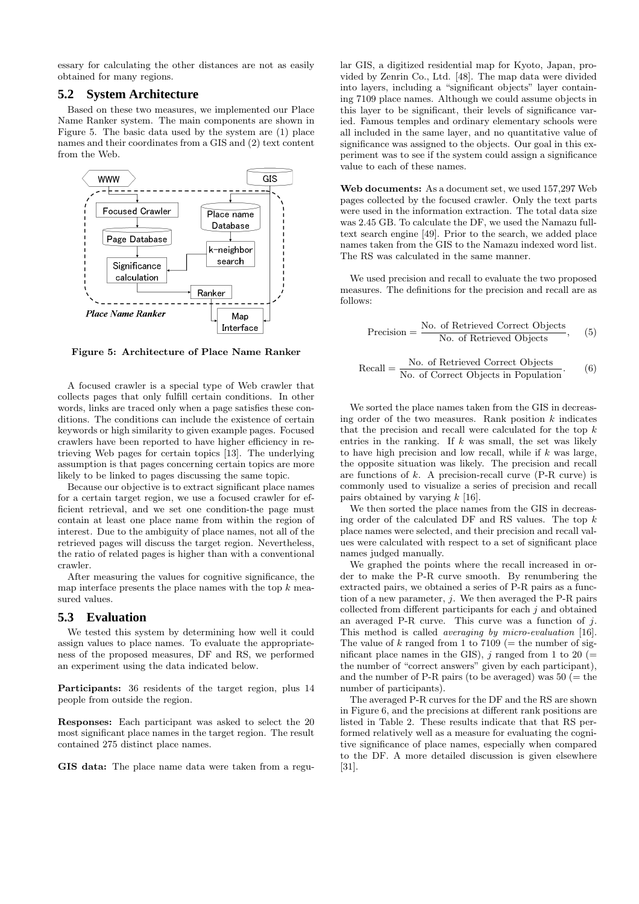essary for calculating the other distances are not as easily obtained for many regions.

#### **5.2 System Architecture**

Based on these two measures, we implemented our Place Name Ranker system. The main components are shown in Figure 5. The basic data used by the system are (1) place names and their coordinates from a GIS and (2) text content from the Web.



**Figure 5: Architecture of Place Name Ranker**

A focused crawler is a special type of Web crawler that collects pages that only fulfill certain conditions. In other words, links are traced only when a page satisfies these conditions. The conditions can include the existence of certain keywords or high similarity to given example pages. Focused crawlers have been reported to have higher efficiency in retrieving Web pages for certain topics [13]. The underlying assumption is that pages concerning certain topics are more likely to be linked to pages discussing the same topic.

Because our objective is to extract significant place names for a certain target region, we use a focused crawler for efficient retrieval, and we set one condition-the page must contain at least one place name from within the region of interest. Due to the ambiguity of place names, not all of the retrieved pages will discuss the target region. Nevertheless, the ratio of related pages is higher than with a conventional crawler.

After measuring the values for cognitive significance, the map interface presents the place names with the top *k* measured values.

# **5.3 Evaluation**

We tested this system by determining how well it could assign values to place names. To evaluate the appropriateness of the proposed measures, DF and RS, we performed an experiment using the data indicated below.

**Participants:** 36 residents of the target region, plus 14 people from outside the region.

**Responses:** Each participant was asked to select the 20 most significant place names in the target region. The result contained 275 distinct place names.

**GIS data:** The place name data were taken from a regu-

lar GIS, a digitized residential map for Kyoto, Japan, provided by Zenrin Co., Ltd. [48]. The map data were divided into layers, including a "significant objects" layer containing 7109 place names. Although we could assume objects in this layer to be significant, their levels of significance varied. Famous temples and ordinary elementary schools were all included in the same layer, and no quantitative value of significance was assigned to the objects. Our goal in this experiment was to see if the system could assign a significance value to each of these names.

**Web documents:** As a document set, we used 157,297 Web pages collected by the focused crawler. Only the text parts were used in the information extraction. The total data size was 2.45 GB. To calculate the DF, we used the Namazu fulltext search engine [49]. Prior to the search, we added place names taken from the GIS to the Namazu indexed word list. The RS was calculated in the same manner.

We used precision and recall to evaluate the two proposed measures. The definitions for the precision and recall are as follows:

$$
Precision = \frac{No. of Retrieved Correct Objects}{No. of Retrieved Objects}, \quad (5)
$$

Recall = 
$$
\frac{\text{No. of Retrieved Correct Objects}}{\text{No. of Correct Objects in Population}}
$$
. (6)

We sorted the place names taken from the GIS in decreasing order of the two measures. Rank position *k* indicates that the precision and recall were calculated for the top *k* entries in the ranking. If *k* was small, the set was likely to have high precision and low recall, while if  $k$  was large, the opposite situation was likely. The precision and recall are functions of *k*. A precision-recall curve (P-R curve) is commonly used to visualize a series of precision and recall pairs obtained by varying *k* [16].

We then sorted the place names from the GIS in decreasing order of the calculated DF and RS values. The top *k* place names were selected, and their precision and recall values were calculated with respect to a set of significant place names judged manually.

We graphed the points where the recall increased in order to make the P-R curve smooth. By renumbering the extracted pairs, we obtained a series of P-R pairs as a function of a new parameter, *j*. We then averaged the P-R pairs collected from different participants for each *j* and obtained an averaged P-R curve. This curve was a function of *j*. This method is called *averaging by micro-evaluation* [16]. The value of  $k$  ranged from 1 to 7109 ( $=$  the number of significant place names in the GIS),  $j$  ranged from 1 to 20 (= the number of "correct answers" given by each participant), and the number of P-R pairs (to be averaged) was  $50 (=$  the number of participants).

The averaged P-R curves for the DF and the RS are shown in Figure 6, and the precisions at different rank positions are listed in Table 2. These results indicate that that RS performed relatively well as a measure for evaluating the cognitive significance of place names, especially when compared to the DF. A more detailed discussion is given elsewhere [31].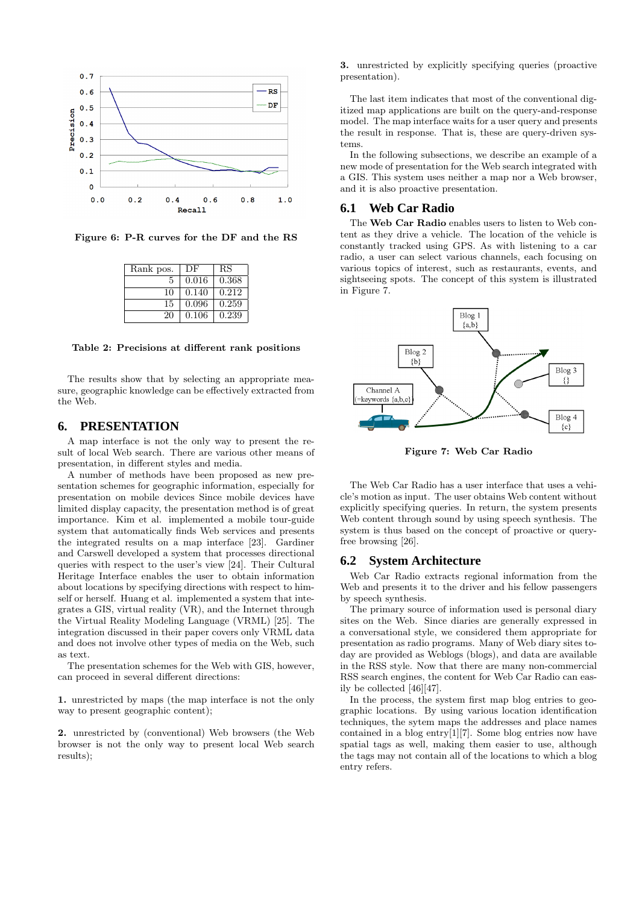

**Figure 6: P-R curves for the DF and the RS**

| Rank pos. | DF    | <b>RS</b> |
|-----------|-------|-----------|
| 5         | 0.016 | 0.368     |
| 10        | 0.140 | 0.212     |
| 15        | 0.096 | 0.259     |
| 20        | 0.106 | 0.239     |

**Table 2: Precisions at different rank positions**

The results show that by selecting an appropriate measure, geographic knowledge can be effectively extracted from the Web.

#### **6. PRESENTATION**

A map interface is not the only way to present the result of local Web search. There are various other means of presentation, in different styles and media.

A number of methods have been proposed as new presentation schemes for geographic information, especially for presentation on mobile devices Since mobile devices have limited display capacity, the presentation method is of great importance. Kim et al. implemented a mobile tour-guide system that automatically finds Web services and presents the integrated results on a map interface [23]. Gardiner and Carswell developed a system that processes directional queries with respect to the user's view [24]. Their Cultural Heritage Interface enables the user to obtain information about locations by specifying directions with respect to himself or herself. Huang et al. implemented a system that integrates a GIS, virtual reality (VR), and the Internet through the Virtual Reality Modeling Language (VRML) [25]. The integration discussed in their paper covers only VRML data and does not involve other types of media on the Web, such as text.

The presentation schemes for the Web with GIS, however, can proceed in several different directions:

**1.** unrestricted by maps (the map interface is not the only way to present geographic content);

**2.** unrestricted by (conventional) Web browsers (the Web browser is not the only way to present local Web search results);

**3.** unrestricted by explicitly specifying queries (proactive presentation).

The last item indicates that most of the conventional digitized map applications are built on the query-and-response model. The map interface waits for a user query and presents the result in response. That is, these are query-driven systems.

In the following subsections, we describe an example of a new mode of presentation for the Web search integrated with a GIS. This system uses neither a map nor a Web browser, and it is also proactive presentation.

# **6.1 Web Car Radio**

The **Web Car Radio** enables users to listen to Web content as they drive a vehicle. The location of the vehicle is constantly tracked using GPS. As with listening to a car radio, a user can select various channels, each focusing on various topics of interest, such as restaurants, events, and sightseeing spots. The concept of this system is illustrated in Figure 7.



**Figure 7: Web Car Radio**

The Web Car Radio has a user interface that uses a vehicle's motion as input. The user obtains Web content without explicitly specifying queries. In return, the system presents Web content through sound by using speech synthesis. The system is thus based on the concept of proactive or queryfree browsing [26].

#### **6.2 System Architecture**

Web Car Radio extracts regional information from the Web and presents it to the driver and his fellow passengers by speech synthesis.

The primary source of information used is personal diary sites on the Web. Since diaries are generally expressed in a conversational style, we considered them appropriate for presentation as radio programs. Many of Web diary sites today are provided as Weblogs (blogs), and data are available in the RSS style. Now that there are many non-commercial RSS search engines, the content for Web Car Radio can easily be collected [46][47].

In the process, the system first map blog entries to geographic locations. By using various location identification techniques, the sytem maps the addresses and place names contained in a blog entry[1][7]. Some blog entries now have spatial tags as well, making them easier to use, although the tags may not contain all of the locations to which a blog entry refers.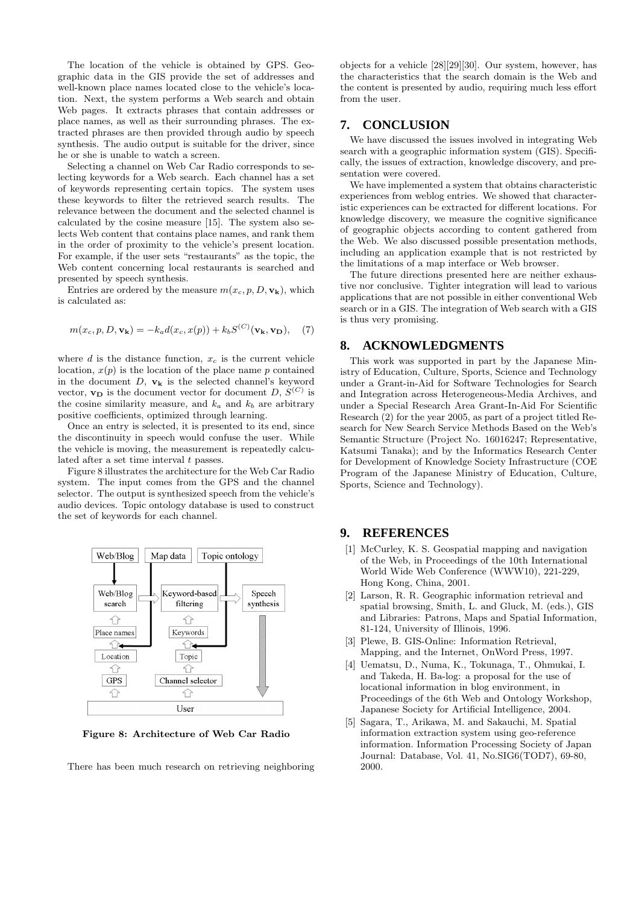The location of the vehicle is obtained by GPS. Geographic data in the GIS provide the set of addresses and well-known place names located close to the vehicle's location. Next, the system performs a Web search and obtain Web pages. It extracts phrases that contain addresses or place names, as well as their surrounding phrases. The extracted phrases are then provided through audio by speech synthesis. The audio output is suitable for the driver, since he or she is unable to watch a screen.

Selecting a channel on Web Car Radio corresponds to selecting keywords for a Web search. Each channel has a set of keywords representing certain topics. The system uses these keywords to filter the retrieved search results. The relevance between the document and the selected channel is calculated by the cosine measure [15]. The system also selects Web content that contains place names, and rank them in the order of proximity to the vehicle's present location. For example, if the user sets "restaurants" as the topic, the Web content concerning local restaurants is searched and presented by speech synthesis.

Entries are ordered by the measure  $m(x_c, p, D, \mathbf{v}_k)$ , which is calculated as:

$$
m(x_c, p, D, \mathbf{v}_k) = -k_a d(x_c, x(p)) + k_b S^{(C)}(\mathbf{v}_k, \mathbf{v}_D), \quad (7)
$$

where *d* is the distance function,  $x_c$  is the current vehicle location,  $x(p)$  is the location of the place name  $p$  contained in the document  $D$ ,  $\mathbf{v}_k$  is the selected channel's keyword vector,  $\mathbf{v}_D$  is the document vector for document *D*,  $S^{(C)}$  is the cosine similarity measure, and  $k_a$  and  $k_b$  are arbitrary positive coefficients, optimized through learning.

Once an entry is selected, it is presented to its end, since the discontinuity in speech would confuse the user. While the vehicle is moving, the measurement is repeatedly calculated after a set time interval *t* passes.

Figure 8 illustrates the architecture for the Web Car Radio system. The input comes from the GPS and the channel selector. The output is synthesized speech from the vehicle's audio devices. Topic ontology database is used to construct the set of keywords for each channel.



**Figure 8: Architecture of Web Car Radio**

There has been much research on retrieving neighboring

objects for a vehicle [28][29][30]. Our system, however, has the characteristics that the search domain is the Web and the content is presented by audio, requiring much less effort from the user.

# **7. CONCLUSION**

We have discussed the issues involved in integrating Web search with a geographic information system (GIS). Specifically, the issues of extraction, knowledge discovery, and presentation were covered.

We have implemented a system that obtains characteristic experiences from weblog entries. We showed that characteristic experiences can be extracted for different locations. For knowledge discovery, we measure the cognitive significance of geographic objects according to content gathered from the Web. We also discussed possible presentation methods, including an application example that is not restricted by the limitations of a map interface or Web browser.

The future directions presented here are neither exhaustive nor conclusive. Tighter integration will lead to various applications that are not possible in either conventional Web search or in a GIS. The integration of Web search with a GIS is thus very promising.

# **8. ACKNOWLEDGMENTS**

This work was supported in part by the Japanese Ministry of Education, Culture, Sports, Science and Technology under a Grant-in-Aid for Software Technologies for Search and Integration across Heterogeneous-Media Archives, and under a Special Research Area Grant-In-Aid For Scientific Research (2) for the year 2005, as part of a project titled Research for New Search Service Methods Based on the Web's Semantic Structure (Project No. 16016247; Representative, Katsumi Tanaka); and by the Informatics Research Center for Development of Knowledge Society Infrastructure (COE Program of the Japanese Ministry of Education, Culture, Sports, Science and Technology).

## **9. REFERENCES**

- [1] McCurley, K. S. Geospatial mapping and navigation of the Web, in Proceedings of the 10th International World Wide Web Conference (WWW10), 221-229, Hong Kong, China, 2001.
- [2] Larson, R. R. Geographic information retrieval and spatial browsing, Smith, L. and Gluck, M. (eds.), GIS and Libraries: Patrons, Maps and Spatial Information, 81-124, University of Illinois, 1996.
- [3] Plewe, B. GIS-Online: Information Retrieval, Mapping, and the Internet, OnWord Press, 1997.
- [4] Uematsu, D., Numa, K., Tokunaga, T., Ohmukai, I. and Takeda, H. Ba-log: a proposal for the use of locational information in blog environment, in Proceedings of the 6th Web and Ontology Workshop, Japanese Society for Artificial Intelligence, 2004.
- [5] Sagara, T., Arikawa, M. and Sakauchi, M. Spatial information extraction system using geo-reference information. Information Processing Society of Japan Journal: Database, Vol. 41, No.SIG6(TOD7), 69-80, 2000.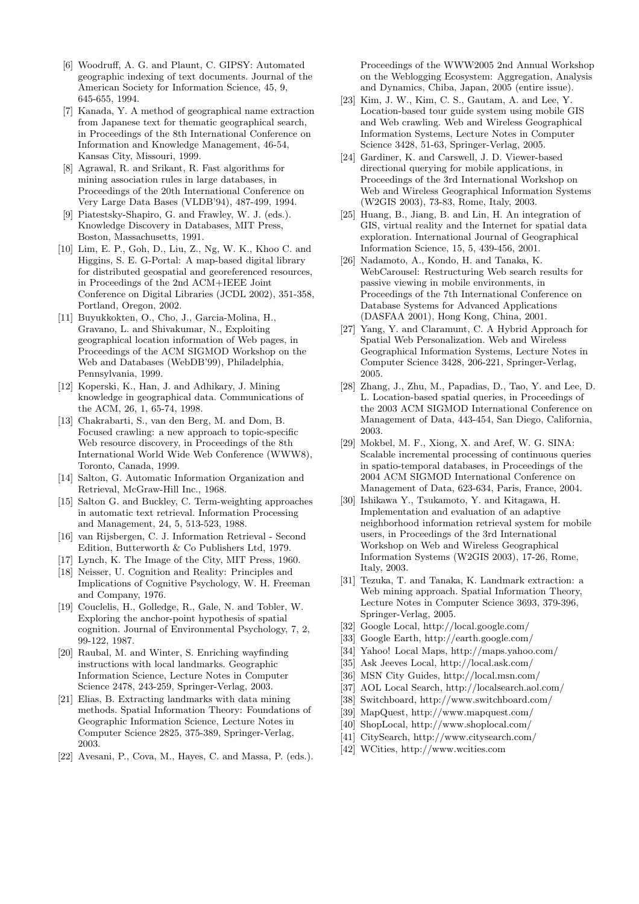- [6] Woodruff, A. G. and Plaunt, C. GIPSY: Automated geographic indexing of text documents. Journal of the American Society for Information Science, 45, 9, 645-655, 1994.
- [7] Kanada, Y. A method of geographical name extraction from Japanese text for thematic geographical search, in Proceedings of the 8th International Conference on Information and Knowledge Management, 46-54, Kansas City, Missouri, 1999.
- [8] Agrawal, R. and Srikant, R. Fast algorithms for mining association rules in large databases, in Proceedings of the 20th International Conference on Very Large Data Bases (VLDB'94), 487-499, 1994.
- [9] Piatestsky-Shapiro, G. and Frawley, W. J. (eds.). Knowledge Discovery in Databases, MIT Press, Boston, Massachusetts, 1991.
- [10] Lim, E. P., Goh, D., Liu, Z., Ng, W. K., Khoo C. and Higgins, S. E. G-Portal: A map-based digital library for distributed geospatial and georeferenced resources, in Proceedings of the 2nd ACM+IEEE Joint Conference on Digital Libraries (JCDL 2002), 351-358, Portland, Oregon, 2002.
- [11] Buyukkokten, O., Cho, J., Garcia-Molina, H., Gravano, L. and Shivakumar, N., Exploiting geographical location information of Web pages, in Proceedings of the ACM SIGMOD Workshop on the Web and Databases (WebDB'99), Philadelphia, Pennsylvania, 1999.
- [12] Koperski, K., Han, J. and Adhikary, J. Mining knowledge in geographical data. Communications of the ACM, 26, 1, 65-74, 1998.
- [13] Chakrabarti, S., van den Berg, M. and Dom, B. Focused crawling: a new approach to topic-specific Web resource discovery, in Proceedings of the 8th International World Wide Web Conference (WWW8), Toronto, Canada, 1999.
- [14] Salton, G. Automatic Information Organization and Retrieval, McGraw-Hill Inc., 1968.
- [15] Salton G. and Buckley, C. Term-weighting approaches in automatic text retrieval. Information Processing and Management, 24, 5, 513-523, 1988.
- [16] van Rijsbergen, C. J. Information Retrieval Second Edition, Butterworth & Co Publishers Ltd, 1979.
- [17] Lynch, K. The Image of the City, MIT Press, 1960.
- [18] Neisser, U. Cognition and Reality: Principles and Implications of Cognitive Psychology, W. H. Freeman and Company, 1976.
- [19] Couclelis, H., Golledge, R., Gale, N. and Tobler, W. Exploring the anchor-point hypothesis of spatial cognition. Journal of Environmental Psychology, 7, 2, 99-122, 1987.
- [20] Raubal, M. and Winter, S. Enriching wayfinding instructions with local landmarks. Geographic Information Science, Lecture Notes in Computer Science 2478, 243-259, Springer-Verlag, 2003.
- [21] Elias, B. Extracting landmarks with data mining methods. Spatial Information Theory: Foundations of Geographic Information Science, Lecture Notes in Computer Science 2825, 375-389, Springer-Verlag, 2003.
- [22] Avesani, P., Cova, M., Hayes, C. and Massa, P. (eds.).

Proceedings of the WWW2005 2nd Annual Workshop on the Weblogging Ecosystem: Aggregation, Analysis and Dynamics, Chiba, Japan, 2005 (entire issue).

- [23] Kim, J. W., Kim, C. S., Gautam, A. and Lee, Y. Location-based tour guide system using mobile GIS and Web crawling. Web and Wireless Geographical Information Systems, Lecture Notes in Computer Science 3428, 51-63, Springer-Verlag, 2005.
- [24] Gardiner, K. and Carswell, J. D. Viewer-based directional querying for mobile applications, in Proceedings of the 3rd International Workshop on Web and Wireless Geographical Information Systems (W2GIS 2003), 73-83, Rome, Italy, 2003.
- [25] Huang, B., Jiang, B. and Lin, H. An integration of GIS, virtual reality and the Internet for spatial data exploration. International Journal of Geographical Information Science, 15, 5, 439-456, 2001.
- [26] Nadamoto, A., Kondo, H. and Tanaka, K. WebCarousel: Restructuring Web search results for passive viewing in mobile environments, in Proceedings of the 7th International Conference on Database Systems for Advanced Applications (DASFAA 2001), Hong Kong, China, 2001.
- [27] Yang, Y. and Claramunt, C. A Hybrid Approach for Spatial Web Personalization. Web and Wireless Geographical Information Systems, Lecture Notes in Computer Science 3428, 206-221, Springer-Verlag, 2005.
- [28] Zhang, J., Zhu, M., Papadias, D., Tao, Y. and Lee, D. L. Location-based spatial queries, in Proceedings of the 2003 ACM SIGMOD International Conference on Management of Data, 443-454, San Diego, California, 2003.
- [29] Mokbel, M. F., Xiong, X. and Aref, W. G. SINA: Scalable incremental processing of continuous queries in spatio-temporal databases, in Proceedings of the 2004 ACM SIGMOD International Conference on Management of Data, 623-634, Paris, France, 2004.
- [30] Ishikawa Y., Tsukamoto, Y. and Kitagawa, H. Implementation and evaluation of an adaptive neighborhood information retrieval system for mobile users, in Proceedings of the 3rd International Workshop on Web and Wireless Geographical Information Systems (W2GIS 2003), 17-26, Rome, Italy, 2003.
- [31] Tezuka, T. and Tanaka, K. Landmark extraction: a Web mining approach. Spatial Information Theory, Lecture Notes in Computer Science 3693, 379-396, Springer-Verlag, 2005.
- [32] Google Local, http://local.google.com/
- [33] Google Earth, http://earth.google.com/
- [34] Yahoo! Local Maps, http://maps.yahoo.com/
- [35] Ask Jeeves Local, http://local.ask.com/
- [36] MSN City Guides, http://local.msn.com/
- [37] AOL Local Search, http://localsearch.aol.com/
- [38] Switchboard, http://www.switchboard.com/
- [39] MapQuest, http://www.mapquest.com/
- [40] ShopLocal, http://www.shoplocal.com/
- [41] CitySearch, http://www.citysearch.com/
- [42] WCities, http://www.wcities.com